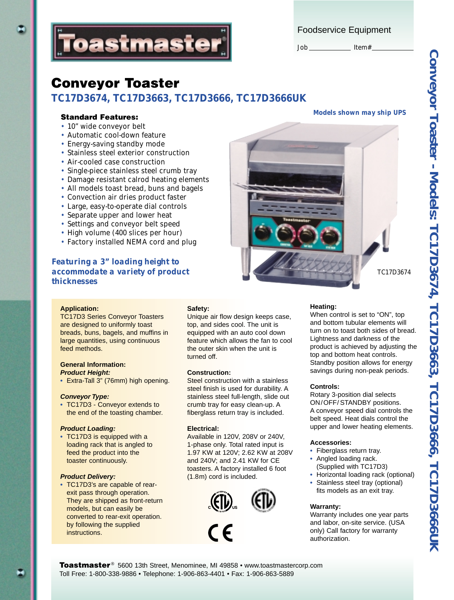

Foodservice Equipment

#### Job \_\_\_\_\_\_\_\_\_\_\_\_\_\_\_\_ Item#

# **Conveyor Toaster**

# *TC17D3674, TC17D3663, TC17D3666, TC17D3666UK*

- 10" wide conveyor belt
- Automatic cool-down feature
- Energy-saving standby mode
- Stainless steel exterior construction
- Air-cooled case construction
- Single-piece stainless steel crumb tray
- Damage resistant calrod heating elements
- All models toast bread, buns and bagels
- Convection air dries product faster
- Large, easy-to-operate dial controls
- Separate upper and lower heat
- Settings and conveyor belt speed
- High volume (400 slices per hour)
- Factory installed NEMA cord and plug

## *Featuring a 3" loading height to accommodate a variety of product thicknesses*

#### **Application:**

TC17D3 Series Conveyor Toasters are designed to uniformly toast breads, buns, bagels, and muffins in large quantities, using continuous feed methods.

### **General Information:**

- **Product Height:**
- **•** Extra-Tall 3" (76mm) high opening.

#### **Conveyor Type:**

**•** TC17D3 - Conveyor extends to the end of the toasting chamber.

#### **Product Loading:**

**•** TC17D3 is equipped with a loading rack that is angled to feed the product into the toaster continuously.

#### **Product Delivery:**

**•** TC17D3's are capable of rearexit pass through operation. They are shipped as front-return models, but can easily be converted to rear-exit operation. by following the supplied instructions.

#### **Safety:**

Unique air flow design keeps case, top, and sides cool. The unit is equipped with an auto cool down feature which allows the fan to cool the outer skin when the unit is turned off.

#### **Construction:**

Steel construction with a stainless steel finish is used for durability. A stainless steel full-length, slide out crumb tray for easy clean-up. A fiberglass return tray is included.

#### **Electrical:**

Available in 120V, 208V or 240V, 1-phase only. Total rated input is 1.97 KW at 120V; 2.62 KW at 208V and 240V; and 2.41 KW for CE toasters. A factory installed 6 foot (1.8m) cord is included.



# *Models shown may ship UPS* **Standard Features:**



*TC17D3674*

#### **Heating:**

When control is set to "ON", top and bottom tubular elements will turn on to toast both sides of bread. Lightness and darkness of the product is achieved by adjusting the top and bottom heat controls. Standby position allows for energy savings during non-peak periods.

#### **Controls:**

Rotary 3-position dial selects ON/OFF/ STANDBY positions. A conveyor speed dial controls the belt speed. Heat dials control the upper and lower heating elements.

#### **Accessories:**

- **•** Fiberglass return tray.
- **•** Angled loading rack. (Supplied with TC17D3)
- **•** Horizontal loading rack (optional)
- **•** Stainless steel tray (optional) fits models as an exit tray.

#### **Warranty:**

Warranty includes one year parts and labor, on-site service. (USA only) Call factory for warranty authorization.

**Toastmaster** ® 5600 13th Street, Menominee, MI 49858 • www.toastmastercorp.com Toll Free: 1-800-338-9886 • Telephone: 1-906-863-4401 • Fax: 1-906-863-5889